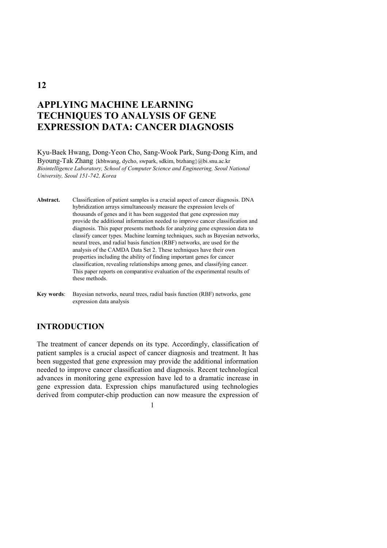# **APPLYING MACHINE LEARNING TECHNIQUES TO ANALYSIS OF GENE EXPRESSION DATA: CANCER DIAGNOSIS**

Kyu-Baek Hwang, Dong-Yeon Cho, Sang-Wook Park, Sung-Dong Kim, and Byoung-Tak Zhang {kbhwang, dycho, swpark, sdkim, btzhang}@bi.snu.ac.kr *Biointelligence Laboratory, School of Computer Science and Engineering, Seoul National University, Seoul 151-742, Korea* 

**Abstract.** Classification of patient samples is a crucial aspect of cancer diagnosis. DNA hybridization arrays simultaneously measure the expression levels of thousands of genes and it has been suggested that gene expression may provide the additional information needed to improve cancer classification and diagnosis. This paper presents methods for analyzing gene expression data to classify cancer types. Machine learning techniques, such as Bayesian networks, neural trees, and radial basis function (RBF) networks, are used for the analysis of the CAMDA Data Set 2. These techniques have their own properties including the ability of finding important genes for cancer classification, revealing relationships among genes, and classifying cancer. This paper reports on comparative evaluation of the experimental results of these methods.

**Key words**: Bayesian networks, neural trees, radial basis function (RBF) networks, gene expression data analysis

# **INTRODUCTION**

The treatment of cancer depends on its type. Accordingly, classification of patient samples is a crucial aspect of cancer diagnosis and treatment. It has been suggested that gene expression may provide the additional information needed to improve cancer classification and diagnosis. Recent technological advances in monitoring gene expression have led to a dramatic increase in gene expression data. Expression chips manufactured using technologies derived from computer-chip production can now measure the expression of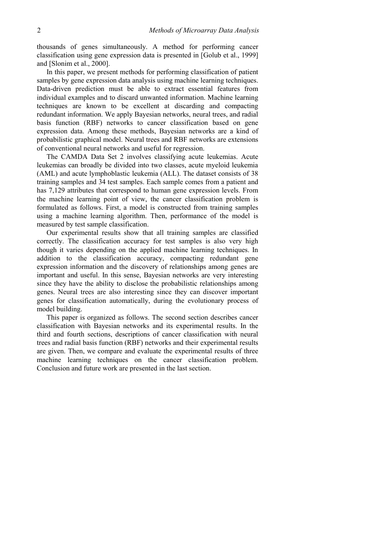thousands of genes simultaneously. A method for performing cancer classification using gene expression data is presented in [Golub et al., 1999] and [Slonim et al., 2000].

In this paper, we present methods for performing classification of patient samples by gene expression data analysis using machine learning techniques. Data-driven prediction must be able to extract essential features from individual examples and to discard unwanted information. Machine learning techniques are known to be excellent at discarding and compacting redundant information. We apply Bayesian networks, neural trees, and radial basis function (RBF) networks to cancer classification based on gene expression data. Among these methods, Bayesian networks are a kind of probabilistic graphical model. Neural trees and RBF networks are extensions of conventional neural networks and useful for regression.

The CAMDA Data Set 2 involves classifying acute leukemias. Acute leukemias can broadly be divided into two classes, acute myeloid leukemia (AML) and acute lymphoblastic leukemia (ALL). The dataset consists of 38 training samples and 34 test samples. Each sample comes from a patient and has 7,129 attributes that correspond to human gene expression levels. From the machine learning point of view, the cancer classification problem is formulated as follows. First, a model is constructed from training samples using a machine learning algorithm. Then, performance of the model is measured by test sample classification.

Our experimental results show that all training samples are classified correctly. The classification accuracy for test samples is also very high though it varies depending on the applied machine learning techniques. In addition to the classification accuracy, compacting redundant gene expression information and the discovery of relationships among genes are important and useful. In this sense, Bayesian networks are very interesting since they have the ability to disclose the probabilistic relationships among genes. Neural trees are also interesting since they can discover important genes for classification automatically, during the evolutionary process of model building.

This paper is organized as follows. The second section describes cancer classification with Bayesian networks and its experimental results. In the third and fourth sections, descriptions of cancer classification with neural trees and radial basis function (RBF) networks and their experimental results are given. Then, we compare and evaluate the experimental results of three machine learning techniques on the cancer classification problem. Conclusion and future work are presented in the last section.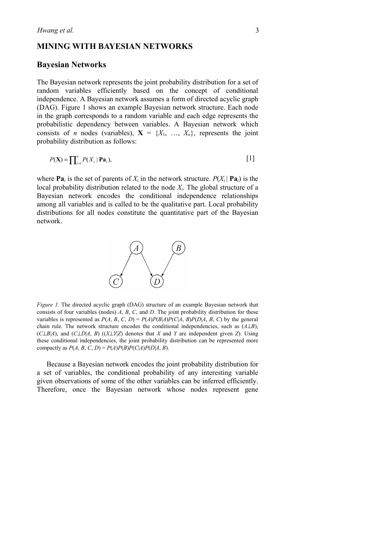### **MINING WITH BAYESIAN NETWORKS**

#### **Bayesian Networks**

The Bayesian network represents the joint probability distribution for a set of random variables efficiently based on the concept of conditional independence. A Bayesian network assumes a form of directed acyclic graph (DAG). Figure 1 shows an example Bayesian network structure. Each node in the graph corresponds to a random variable and each edge represents the probabilistic dependency between variables. A Bayesian network which consists of *n* nodes (variables),  $X = \{X_1, \ldots, X_n\}$ , represents the joint probability distribution as follows:

$$
P(\mathbf{X}) = \prod_{i=1}^{n} P(X_i \mid \mathbf{Pa}_i),
$$
 [1]

where  $\mathbf{Pa}_i$  is the set of parents of  $X_i$  in the network structure.  $P(X_i | \mathbf{Pa}_i)$  is the local probability distribution related to the node *Xi*. The global structure of a Bayesian network encodes the conditional independence relationships among all variables and is called to be the qualitative part. Local probability distributions for all nodes constitute the quantitative part of the Bayesian network.



*Figure 1.* The directed acyclic graph (DAG) structure of an example Bayesian network that consists of four variables (nodes) *A*, *B*, *C*, and *D*. The joint probability distribution for these variables is represented as  $P(A, B, C, D) = P(A)P(B|A)P(C|A, B)P(D|A, B, C)$  by the general chain rule. The network structure encodes the conditional independencies, such as  $(A \perp B)$ , (*C*⊥*B*|*A*), and (*C*⊥*D*|*A*, *B*) ((*X*⊥*Y*|*Z*) denotes that *X* and *Y* are independent given *Z*). Using these conditional independencies, the joint probability distribution can be represented more compactly as  $P(A, B, C, D) = P(A)P(B)P(C|A)P(D|A, B)$ .

Because a Bayesian network encodes the joint probability distribution for a set of variables, the conditional probability of any interesting variable given observations of some of the other variables can be inferred efficiently. Therefore, once the Bayesian network whose nodes represent gene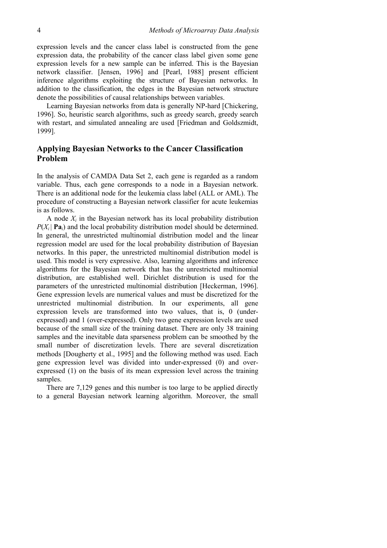expression levels and the cancer class label is constructed from the gene expression data, the probability of the cancer class label given some gene expression levels for a new sample can be inferred. This is the Bayesian network classifier. [Jensen, 1996] and [Pearl, 1988] present efficient inference algorithms exploiting the structure of Bayesian networks. In addition to the classification, the edges in the Bayesian network structure denote the possibilities of causal relationships between variables.

Learning Bayesian networks from data is generally NP-hard [Chickering, 1996]. So, heuristic search algorithms, such as greedy search, greedy search with restart, and simulated annealing are used [Friedman and Goldszmidt, 1999].

# **Applying Bayesian Networks to the Cancer Classification Problem**

In the analysis of CAMDA Data Set 2, each gene is regarded as a random variable. Thus, each gene corresponds to a node in a Bayesian network. There is an additional node for the leukemia class label (ALL or AML). The procedure of constructing a Bayesian network classifier for acute leukemias is as follows.

A node *Xi* in the Bayesian network has its local probability distribution  $P(X_i | \mathbf{Pa}_i)$  and the local probability distribution model should be determined. In general, the unrestricted multinomial distribution model and the linear regression model are used for the local probability distribution of Bayesian networks. In this paper, the unrestricted multinomial distribution model is used. This model is very expressive. Also, learning algorithms and inference algorithms for the Bayesian network that has the unrestricted multinomial distribution, are established well. Dirichlet distribution is used for the parameters of the unrestricted multinomial distribution [Heckerman, 1996]. Gene expression levels are numerical values and must be discretized for the unrestricted multinomial distribution. In our experiments, all gene expression levels are transformed into two values, that is, 0 (underexpressed) and 1 (over-expressed). Only two gene expression levels are used because of the small size of the training dataset. There are only 38 training samples and the inevitable data sparseness problem can be smoothed by the small number of discretization levels. There are several discretization methods [Dougherty et al., 1995] and the following method was used. Each gene expression level was divided into under-expressed (0) and overexpressed (1) on the basis of its mean expression level across the training samples.

There are 7,129 genes and this number is too large to be applied directly to a general Bayesian network learning algorithm. Moreover, the small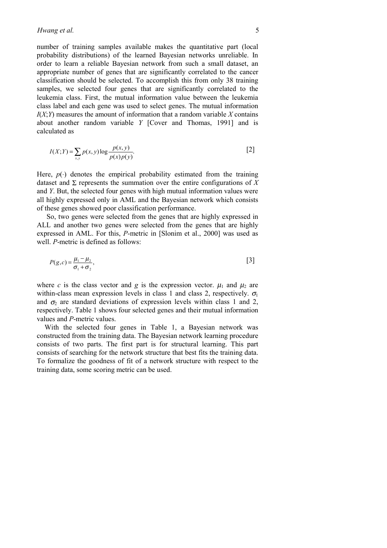number of training samples available makes the quantitative part (local probability distributions) of the learned Bayesian networks unreliable. In order to learn a reliable Bayesian network from such a small dataset, an appropriate number of genes that are significantly correlated to the cancer classification should be selected. To accomplish this from only 38 training samples, we selected four genes that are significantly correlated to the leukemia class. First, the mutual information value between the leukemia class label and each gene was used to select genes. The mutual information  $I(X;Y)$  measures the amount of information that a random variable  $X$  contains about another random variable *Y* [Cover and Thomas, 1991] and is calculated as

$$
I(X;Y) = \sum_{x,y} p(x,y) \log \frac{p(x,y)}{p(x)p(y)}.
$$
 [2]

Here,  $p(.)$  denotes the empirical probability estimated from the training dataset and  $\Sigma$  represents the summation over the entire configurations of X and *Y*. But, the selected four genes with high mutual information values were all highly expressed only in AML and the Bayesian network which consists of these genes showed poor classification performance.

So, two genes were selected from the genes that are highly expressed in ALL and another two genes were selected from the genes that are highly expressed in AML. For this, *P*-metric in [Slonim et al., 2000] was used as well. *P*-metric is defined as follows:

$$
P(g,c) = \frac{\mu_1 - \mu_2}{\sigma_1 + \sigma_2},\tag{3}
$$

where *c* is the class vector and *g* is the expression vector.  $\mu_1$  and  $\mu_2$  are within-class mean expression levels in class 1 and class 2, respectively.  $\sigma_1$ and  $\sigma_2$  are standard deviations of expression levels within class 1 and 2, respectively. Table 1 shows four selected genes and their mutual information values and *P*-metric values.

With the selected four genes in Table 1, a Bayesian network was constructed from the training data. The Bayesian network learning procedure consists of two parts. The first part is for structural learning. This part consists of searching for the network structure that best fits the training data. To formalize the goodness of fit of a network structure with respect to the training data, some scoring metric can be used.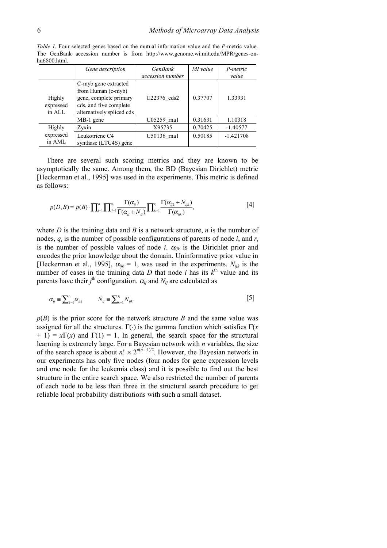|                               | Gene description                                                                                                            | <b>GenBank</b><br>accession number | MI value | P-metric<br>value |
|-------------------------------|-----------------------------------------------------------------------------------------------------------------------------|------------------------------------|----------|-------------------|
| Highly<br>expressed<br>in ALL | C-myb gene extracted<br>from Human (c-myb)<br>gene, complete primary<br>cds, and five complete<br>alternatively spliced cds | U22376 cds2                        | 0.37707  | 1.33931           |
|                               | MB-1 gene                                                                                                                   | U05259 rna1                        | 0.31631  | 1.10318           |
| Highly                        | Zyxin                                                                                                                       | X95735                             | 0.70425  | $-1.40577$        |
| expressed<br>in AML           | Leukotriene C4<br>synthase (LTC4S) gene                                                                                     | U50136 rna1                        | 0.50185  | $-1.421708$       |

*Table 1.* Four selected genes based on the mutual information value and the *P*-metric value. The GenBank accession number is from http://www.genome.wi.mit.edu/MPR/genes-onhu6800.html.

There are several such scoring metrics and they are known to be asymptotically the same. Among them, the BD (Bayesian Dirichlet) metric [Heckerman et al., 1995] was used in the experiments. This metric is defined as follows:

$$
p(D,B) = p(B) \cdot \prod_{i=1}^{n} \prod_{j=1}^{q_i} \frac{\Gamma(\alpha_{ij})}{\Gamma(\alpha_{ij} + N_{ij})} \prod_{k=1}^{r_i} \frac{\Gamma(\alpha_{ijk} + N_{ijk})}{\Gamma(\alpha_{ijk})},
$$
 [4]

where  $D$  is the training data and  $B$  is a network structure,  $n$  is the number of nodes,  $q_i$  is the number of possible configurations of parents of node  $i$ , and  $r_i$ is the number of possible values of node *i*.  $\alpha_{ijk}$  is the Dirichlet prior and encodes the prior knowledge about the domain. Uninformative prior value in [Heckerman et al., 1995],  $\alpha_{ijk} = 1$ , was used in the experiments.  $N_{ijk}$  is the number of cases in the training data  $D$  that node *i* has its  $k^{\text{th}}$  value and its parents have their  $j^{\text{th}}$  configuration.  $\alpha_{ij}$  and  $N_{ij}$  are calculated as

$$
\alpha_{ij} \equiv \sum_{k=1}^{r_i} \alpha_{ijk} \qquad N_{ij} \equiv \sum_{k=1}^{r_i} N_{ijk}.
$$

 $p(B)$  is the prior score for the network structure *B* and the same value was assigned for all the structures.  $\Gamma(\cdot)$  is the gamma function which satisfies  $\Gamma(x)$  $+ 1$ ) = *x* $\Gamma(x)$  and  $\Gamma(1) = 1$ . In general, the search space for the structural learning is extremely large. For a Bayesian network with *n* variables, the size of the search space is about  $n! \times 2^{n(n-1)/2}$ . However, the Bayesian network in our experiments has only five nodes (four nodes for gene expression levels and one node for the leukemia class) and it is possible to find out the best structure in the entire search space. We also restricted the number of parents of each node to be less than three in the structural search procedure to get reliable local probability distributions with such a small dataset.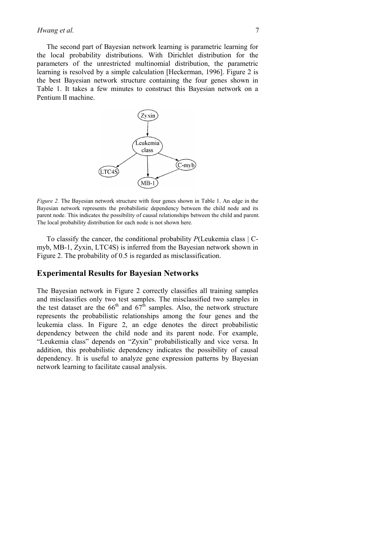The second part of Bayesian network learning is parametric learning for the local probability distributions. With Dirichlet distribution for the parameters of the unrestricted multinomial distribution, the parametric learning is resolved by a simple calculation [Heckerman, 1996]. Figure 2 is the best Bayesian network structure containing the four genes shown in Table 1. It takes a few minutes to construct this Bayesian network on a Pentium II machine.



*Figure 2.* The Bayesian network structure with four genes shown in Table 1. An edge in the Bayesian network represents the probabilistic dependency between the child node and its parent node. This indicates the possibility of causal relationships between the child and parent. The local probability distribution for each node is not shown here.

To classify the cancer, the conditional probability *P*(Leukemia class | Cmyb, MB-1, Zyxin, LTC4S) is inferred from the Bayesian network shown in Figure 2. The probability of 0.5 is regarded as misclassification.

#### **Experimental Results for Bayesian Networks**

The Bayesian network in Figure 2 correctly classifies all training samples and misclassifies only two test samples. The misclassified two samples in the test dataset are the  $66<sup>th</sup>$  and  $67<sup>th</sup>$  samples. Also, the network structure represents the probabilistic relationships among the four genes and the leukemia class. In Figure 2, an edge denotes the direct probabilistic dependency between the child node and its parent node. For example, "Leukemia class" depends on "Zyxin" probabilistically and vice versa. In addition, this probabilistic dependency indicates the possibility of causal dependency. It is useful to analyze gene expression patterns by Bayesian network learning to facilitate causal analysis.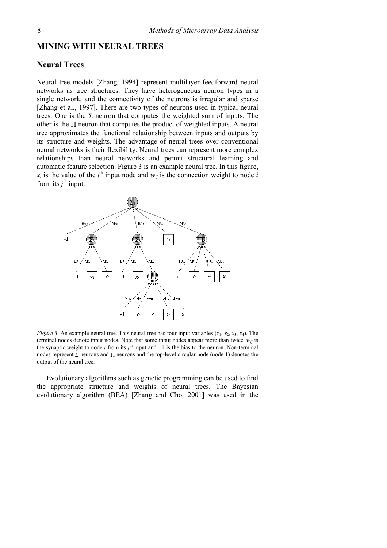#### **MINING WITH NEURAL TREES**

## **Neural Trees**

Neural tree models [Zhang, 1994] represent multilayer feedforward neural networks as tree structures. They have heterogeneous neuron types in a single network, and the connectivity of the neurons is irregular and sparse [Zhang et al., 1997]. There are two types of neurons used in typical neural trees. One is the  $\Sigma$  neuron that computes the weighted sum of inputs. The other is the Π neuron that computes the product of weighted inputs. A neural tree approximates the functional relationship between inputs and outputs by its structure and weights. The advantage of neural trees over conventional neural networks is their flexibility. Neural trees can represent more complex relationships than neural networks and permit structural learning and automatic feature selection. Figure 3 is an example neural tree. In this figure,  $x_i$  is the value of the *i*<sup>th</sup> input node and  $w_{ij}$  is the connection weight to node *i* from its  $j^{\text{th}}$  input.



*Figure 3.* An example neural tree. This neural tree has four input variables  $(x_1, x_2, x_3, x_4)$ . The terminal nodes denote input nodes. Note that some input nodes appear more than twice.  $w_{ij}$  is the synaptic weight to node *i* from its  $j<sup>th</sup>$  input and  $+1$  is the bias to the neuron. Non-terminal nodes represent Σ neurons and Π neurons and the top-level circular node (node 1) denotes the output of the neural tree.

Evolutionary algorithms such as genetic programming can be used to find the appropriate structure and weights of neural trees. The Bayesian evolutionary algorithm (BEA) [Zhang and Cho, 2001] was used in the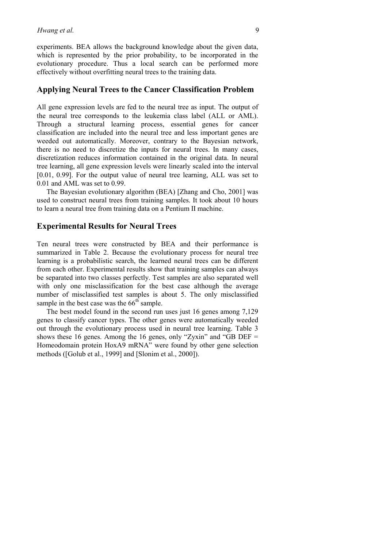experiments. BEA allows the background knowledge about the given data, which is represented by the prior probability, to be incorporated in the evolutionary procedure. Thus a local search can be performed more effectively without overfitting neural trees to the training data.

## **Applying Neural Trees to the Cancer Classification Problem**

All gene expression levels are fed to the neural tree as input. The output of the neural tree corresponds to the leukemia class label (ALL or AML). Through a structural learning process, essential genes for cancer classification are included into the neural tree and less important genes are weeded out automatically. Moreover, contrary to the Bayesian network, there is no need to discretize the inputs for neural trees. In many cases, discretization reduces information contained in the original data. In neural tree learning, all gene expression levels were linearly scaled into the interval [0.01, 0.99]. For the output value of neural tree learning, ALL was set to 0.01 and AML was set to 0.99.

The Bayesian evolutionary algorithm (BEA) [Zhang and Cho, 2001] was used to construct neural trees from training samples. It took about 10 hours to learn a neural tree from training data on a Pentium II machine.

### **Experimental Results for Neural Trees**

Ten neural trees were constructed by BEA and their performance is summarized in Table 2. Because the evolutionary process for neural tree learning is a probabilistic search, the learned neural trees can be different from each other. Experimental results show that training samples can always be separated into two classes perfectly. Test samples are also separated well with only one misclassification for the best case although the average number of misclassified test samples is about 5. The only misclassified sample in the best case was the  $66<sup>th</sup>$  sample.

The best model found in the second run uses just 16 genes among 7,129 genes to classify cancer types. The other genes were automatically weeded out through the evolutionary process used in neural tree learning. Table 3 shows these 16 genes. Among the 16 genes, only "Zyxin" and "GB DEF = Homeodomain protein HoxA9 mRNA" were found by other gene selection methods ([Golub et al., 1999] and [Slonim et al., 2000]).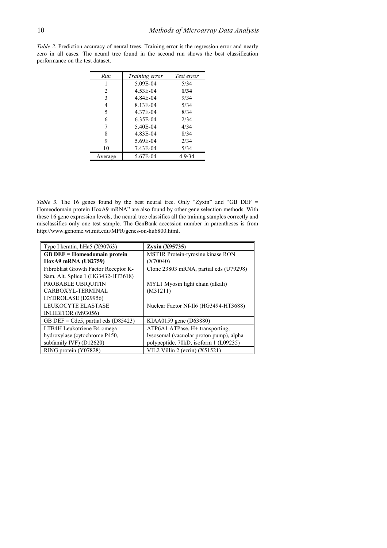*Table 2.* Prediction accuracy of neural trees. Training error is the regression error and nearly zero in all cases. The neural tree found in the second run shows the best classification performance on the test dataset.

| Run     | Training error | Test error |
|---------|----------------|------------|
|         | 5.09E-04       | 5/34       |
| 2       | 4.53E-04       | 1/34       |
| 3       | 4.84E-04       | 9/34       |
| 4       | 8.13E-04       | 5/34       |
| 5       | 4.37E-04       | 8/34       |
| 6       | 6.35E-04       | 2/34       |
| 7       | 5.40E-04       | 4/34       |
| 8       | 4.83E-04       | 8/34       |
| 9       | 5.69E-04       | 2/34       |
| 10      | 7.43E-04       | 5/34       |
| Average | 5.67E-04       | 4.9/34     |

*Table 3.* The 16 genes found by the best neural tree. Only "Zyxin" and "GB DEF = Homeodomain protein HoxA9 mRNA" are also found by other gene selection methods. With these 16 gene expression levels, the neural tree classifies all the training samples correctly and misclassifies only one test sample. The GenBank accession number in parentheses is from http://www.genome.wi.mit.edu/MPR/genes-on-hu6800.html.

| Type I keratin, hHa5 (X90763)          | $Z$ yxin $(X95735)$                     |
|----------------------------------------|-----------------------------------------|
| <b>GB DEF</b> = Homeodomain protein    | MST1R Protein-tyrosine kinase RON       |
| HoxA9 mRNA (U82759)                    | (X70040)                                |
| Fibroblast Growth Factor Receptor K-   | Clone 23803 mRNA, partial cds (U79298)  |
| Sam, Alt. Splice 1 (HG3432-HT3618)     |                                         |
| PROBABLE UBIOUITIN                     | MYL1 Myosin light chain (alkali)        |
| CARBOXYL-TERMINAL                      | (M31211)                                |
| HYDROLASE (D29956)                     |                                         |
| <b>LEUKOCYTE ELASTASE</b>              | Nuclear Factor Nf-Il6 (HG3494-HT3688)   |
| INHIBITOR (M93056)                     |                                         |
| GB DEF = $Cdc5$ , partial cds (D85423) | KIAA0159 gene (D63880)                  |
| LTB4H Leukotriene B4 omega             | ATP6A1 ATPase, H+ transporting,         |
| hydroxylase (cytochrome P450,          | lysosomal (vacuolar proton pump), alpha |
| subfamily IVF) $(D12620)$              | polypeptide, 70kD, isoform 1 (L09235)   |
| RING protein (Y07828)                  | VIL2 Villin 2 (ezrin) $(X51521)$        |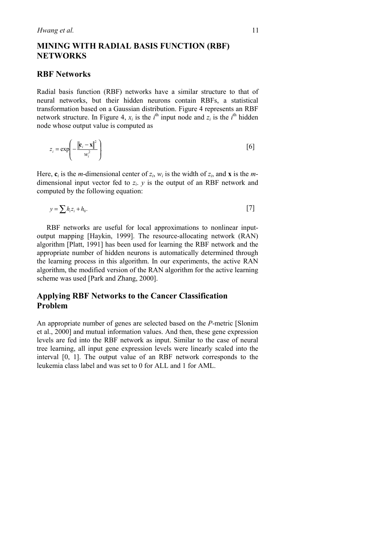# **MINING WITH RADIAL BASIS FUNCTION (RBF) NETWORKS**

#### **RBF Networks**

Radial basis function (RBF) networks have a similar structure to that of neural networks, but their hidden neurons contain RBFs, a statistical transformation based on a Gaussian distribution. Figure 4 represents an RBF network structure. In Figure 4,  $x_i$  is the  $i^{\text{th}}$  input node and  $z_i$  is the  $i^{\text{th}}$  hidden node whose output value is computed as

$$
z_i = \exp\left(-\frac{\left\|\mathbf{c}_i - \mathbf{x}\right\|^2}{w_i^2}\right)
$$
 [6]

Here,  $\mathbf{c}_i$  is the *m*-dimensional center of  $z_i$ ,  $w_i$  is the width of  $z_i$ , and **x** is the *m*dimensional input vector fed to *zi*. *y* is the output of an RBF network and computed by the following equation:

$$
y = \sum h_i z_i + h_0. \tag{7}
$$

RBF networks are useful for local approximations to nonlinear inputoutput mapping [Haykin, 1999]. The resource-allocating network (RAN) algorithm [Platt, 1991] has been used for learning the RBF network and the appropriate number of hidden neurons is automatically determined through the learning process in this algorithm. In our experiments, the active RAN algorithm, the modified version of the RAN algorithm for the active learning scheme was used [Park and Zhang, 2000].

## **Applying RBF Networks to the Cancer Classification Problem**

An appropriate number of genes are selected based on the *P*-metric [Slonim et al., 2000] and mutual information values. And then, these gene expression levels are fed into the RBF network as input. Similar to the case of neural tree learning, all input gene expression levels were linearly scaled into the interval [0, 1]. The output value of an RBF network corresponds to the leukemia class label and was set to 0 for ALL and 1 for AML.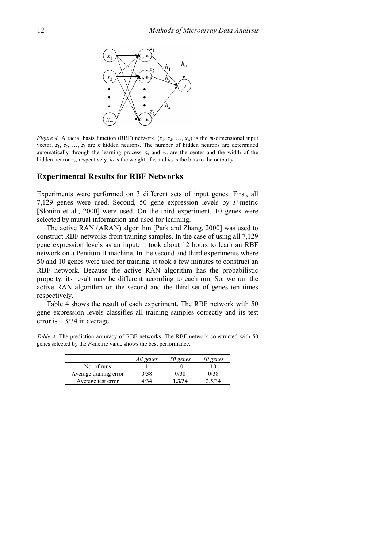

*Figure 4.* A radial basis function (RBF) network.  $(x_1, x_2, ..., x_m)$  is the *m*-dimensional input vector.  $z_1, z_2, \ldots, z_k$  are *k* hidden neurons. The number of hidden neurons are determined automatically through the learning process.  $\mathbf{c}_i$  and  $w_i$  are the center and the width of the hidden neuron  $z_i$ , respectively.  $h_i$  is the weight of  $z_i$  and  $h_0$  is the bias to the output *y*.

#### **Experimental Results for RBF Networks**

Experiments were performed on 3 different sets of input genes. First, all 7,129 genes were used. Second, 50 gene expression levels by *P*-metric [Slonim et al., 2000] were used. On the third experiment, 10 genes were selected by mutual information and used for learning.

The active RAN (ARAN) algorithm [Park and Zhang, 2000] was used to construct RBF networks from training samples. In the case of using all 7,129 gene expression levels as an input, it took about 12 hours to learn an RBF network on a Pentium II machine. In the second and third experiments where 50 and 10 genes were used for training, it took a few minutes to construct an RBF network. Because the active RAN algorithm has the probabilistic property, its result may be different according to each run. So, we ran the active RAN algorithm on the second and the third set of genes ten times respectively.

Table 4 shows the result of each experiment. The RBF network with 50 gene expression levels classifies all training samples correctly and its test error is 1.3/34 in average.

*Table 4.* The prediction accuracy of RBF networks. The RBF network constructed with 50 genes selected by the *P*-metric value shows the best performance.

|                        | All genes | 50 genes | 10 genes |
|------------------------|-----------|----------|----------|
| No. of runs            |           | i ()     | l ()     |
| Average training error | 0/38      | 0/38     | 0/38     |
| Average test error     | 4/34      | 1.3/34   | 2.5/34   |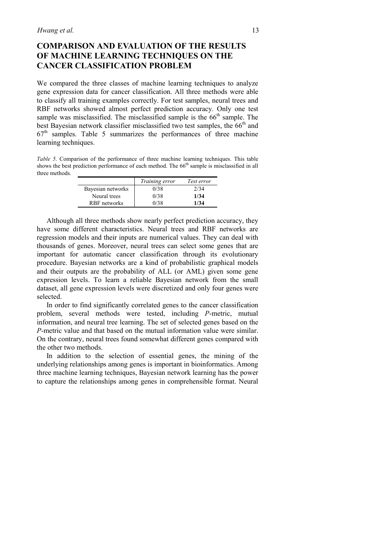# **COMPARISON AND EVALUATION OF THE RESULTS OF MACHINE LEARNING TECHNIQUES ON THE CANCER CLASSIFICATION PROBLEM**

We compared the three classes of machine learning techniques to analyze gene expression data for cancer classification. All three methods were able to classify all training examples correctly. For test samples, neural trees and RBF networks showed almost perfect prediction accuracy. Only one test sample was misclassified. The misclassified sample is the  $66<sup>th</sup>$  sample. The best Bayesian network classifier misclassified two test samples, the  $66<sup>th</sup>$  and  $67<sup>th</sup>$  samples. Table 5 summarizes the performances of three machine learning techniques.

*Table 5*. Comparison of the performance of three machine learning techniques. This table shows the best prediction performance of each method. The 66<sup>th</sup> sample is misclassified in all three methods.

|                   | Training error | Test error |
|-------------------|----------------|------------|
| Bayesian networks | 0/38           | 2/34       |
| Neural trees      | 0/38           | 1/34       |
| RBF networks      | በ/38           | 1/34       |

Although all three methods show nearly perfect prediction accuracy, they have some different characteristics. Neural trees and RBF networks are regression models and their inputs are numerical values. They can deal with thousands of genes. Moreover, neural trees can select some genes that are important for automatic cancer classification through its evolutionary procedure. Bayesian networks are a kind of probabilistic graphical models and their outputs are the probability of ALL (or AML) given some gene expression levels. To learn a reliable Bayesian network from the small dataset, all gene expression levels were discretized and only four genes were selected.

In order to find significantly correlated genes to the cancer classification problem, several methods were tested, including *P*-metric, mutual information, and neural tree learning. The set of selected genes based on the *P*-metric value and that based on the mutual information value were similar. On the contrary, neural trees found somewhat different genes compared with the other two methods.

In addition to the selection of essential genes, the mining of the underlying relationships among genes is important in bioinformatics. Among three machine learning techniques, Bayesian network learning has the power to capture the relationships among genes in comprehensible format. Neural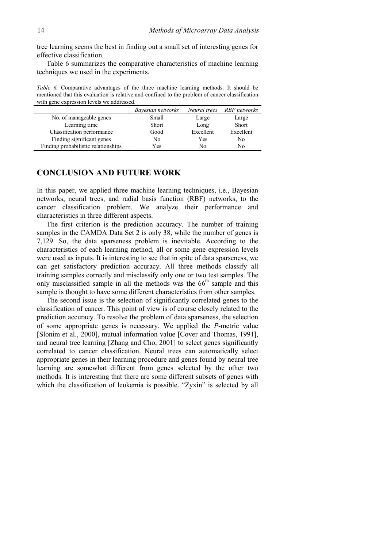tree learning seems the best in finding out a small set of interesting genes for effective classification.

Table 6 summarizes the comparative characteristics of machine learning techniques we used in the experiments.

*Table 6.* Comparative advantages of the three machine learning methods. It should be mentioned that this evaluation is relative and confined to the problem of cancer classification with gene expression levels we addressed.

|                                     | Bayesian networks | Neural trees | RBF networks |
|-------------------------------------|-------------------|--------------|--------------|
| No. of manageable genes             | Small             | Large        | Large        |
| Learning time                       | Short             | Long         | <b>Short</b> |
| Classification performance          | Good              | Excellent    | Excellent    |
| Finding significant genes           | No                | Yes          | No           |
| Finding probabilistic relationships | Yes               | Nο           | No           |

#### **CONCLUSION AND FUTURE WORK**

In this paper, we applied three machine learning techniques, i.e., Bayesian networks, neural trees, and radial basis function (RBF) networks, to the cancer classification problem. We analyze their performance and characteristics in three different aspects.

The first criterion is the prediction accuracy. The number of training samples in the CAMDA Data Set 2 is only 38, while the number of genes is 7,129. So, the data sparseness problem is inevitable. According to the characteristics of each learning method, all or some gene expression levels were used as inputs. It is interesting to see that in spite of data sparseness, we can get satisfactory prediction accuracy. All three methods classify all training samples correctly and misclassify only one or two test samples. The only misclassified sample in all the methods was the  $66<sup>th</sup>$  sample and this sample is thought to have some different characteristics from other samples.

The second issue is the selection of significantly correlated genes to the classification of cancer. This point of view is of course closely related to the prediction accuracy. To resolve the problem of data sparseness, the selection of some appropriate genes is necessary. We applied the *P*-metric value [Slonim et al., 2000], mutual information value [Cover and Thomas, 1991], and neural tree learning [Zhang and Cho, 2001] to select genes significantly correlated to cancer classification. Neural trees can automatically select appropriate genes in their learning procedure and genes found by neural tree learning are somewhat different from genes selected by the other two methods. It is interesting that there are some different subsets of genes with which the classification of leukemia is possible. "Zyxin" is selected by all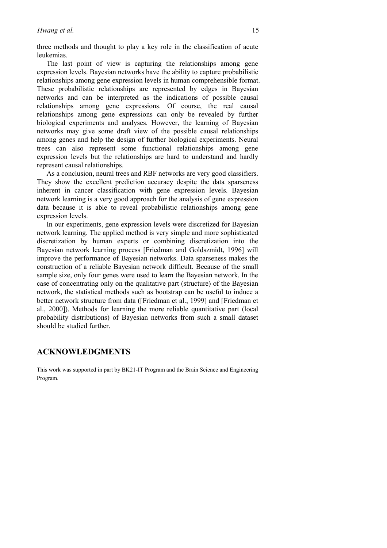three methods and thought to play a key role in the classification of acute leukemias.

The last point of view is capturing the relationships among gene expression levels. Bayesian networks have the ability to capture probabilistic relationships among gene expression levels in human comprehensible format. These probabilistic relationships are represented by edges in Bayesian networks and can be interpreted as the indications of possible causal relationships among gene expressions. Of course, the real causal relationships among gene expressions can only be revealed by further biological experiments and analyses. However, the learning of Bayesian networks may give some draft view of the possible causal relationships among genes and help the design of further biological experiments. Neural trees can also represent some functional relationships among gene expression levels but the relationships are hard to understand and hardly represent causal relationships.

As a conclusion, neural trees and RBF networks are very good classifiers. They show the excellent prediction accuracy despite the data sparseness inherent in cancer classification with gene expression levels. Bayesian network learning is a very good approach for the analysis of gene expression data because it is able to reveal probabilistic relationships among gene expression levels.

In our experiments, gene expression levels were discretized for Bayesian network learning. The applied method is very simple and more sophisticated discretization by human experts or combining discretization into the Bayesian network learning process [Friedman and Goldszmidt, 1996] will improve the performance of Bayesian networks. Data sparseness makes the construction of a reliable Bayesian network difficult. Because of the small sample size, only four genes were used to learn the Bayesian network. In the case of concentrating only on the qualitative part (structure) of the Bayesian network, the statistical methods such as bootstrap can be useful to induce a better network structure from data ([Friedman et al., 1999] and [Friedman et al., 2000]). Methods for learning the more reliable quantitative part (local probability distributions) of Bayesian networks from such a small dataset should be studied further.

## **ACKNOWLEDGMENTS**

This work was supported in part by BK21-IT Program and the Brain Science and Engineering Program.